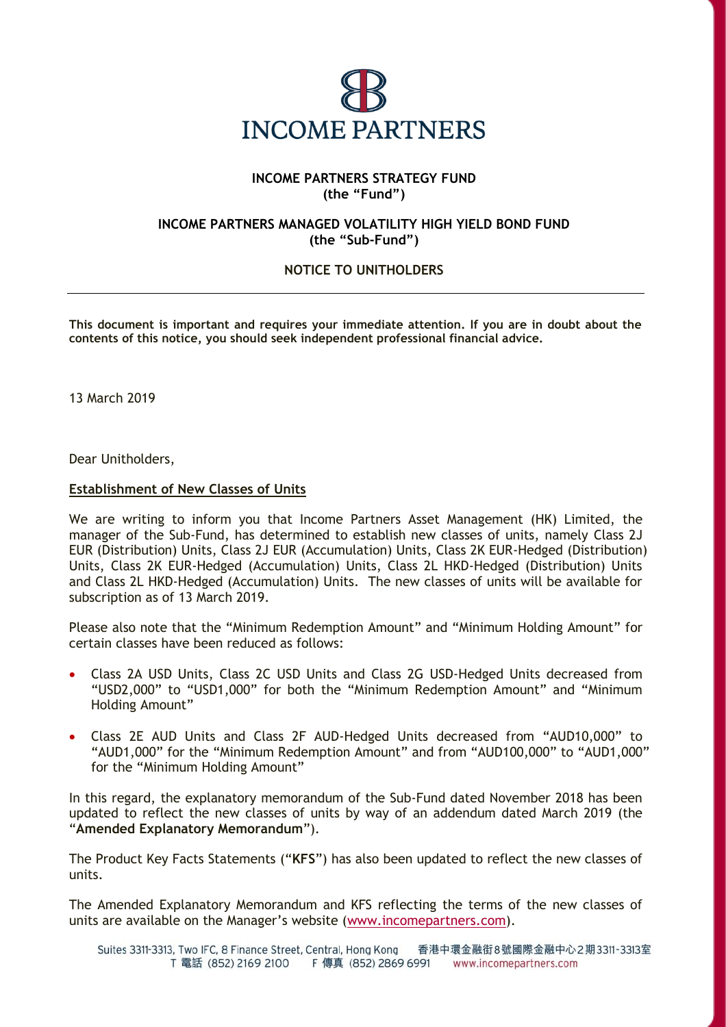

## **INCOME PARTNERS STRATEGY FUND (the "Fund")**

## **INCOME PARTNERS MANAGED VOLATILITY HIGH YIELD BOND FUND (the "Sub-Fund")**

## **NOTICE TO UNITHOLDERS**

**This document is important and requires your immediate attention. If you are in doubt about the contents of this notice, you should seek independent professional financial advice.**

13 March 2019

Dear Unitholders,

## **Establishment of New Classes of Units**

We are writing to inform you that Income Partners Asset Management (HK) Limited, the manager of the Sub-Fund, has determined to establish new classes of units, namely Class 2J EUR (Distribution) Units, Class 2J EUR (Accumulation) Units, Class 2K EUR-Hedged (Distribution) Units, Class 2K EUR-Hedged (Accumulation) Units, Class 2L HKD-Hedged (Distribution) Units and Class 2L HKD-Hedged (Accumulation) Units. The new classes of units will be available for subscription as of 13 March 2019.

Please also note that the "Minimum Redemption Amount" and "Minimum Holding Amount" for certain classes have been reduced as follows:

- Class 2A USD Units, Class 2C USD Units and Class 2G USD-Hedged Units decreased from "USD2,000" to "USD1,000" for both the "Minimum Redemption Amount" and "Minimum Holding Amount"
- Class 2E AUD Units and Class 2F AUD-Hedged Units decreased from "AUD10,000" to "AUD1,000" for the "Minimum Redemption Amount" and from "AUD100,000" to "AUD1,000" for the "Minimum Holding Amount"

In this regard, the explanatory memorandum of the Sub-Fund dated November 2018 has been updated to reflect the new classes of units by way of an addendum dated March 2019 (the "**Amended Explanatory Memorandum**").

The Product Key Facts Statements ("**KFS**") has also been updated to reflect the new classes of units.

The Amended Explanatory Memorandum and KFS reflecting the terms of the new classes of units are available on the Manager's website ([www.incomepartners.com\)](http://www.incomepartners.com/).